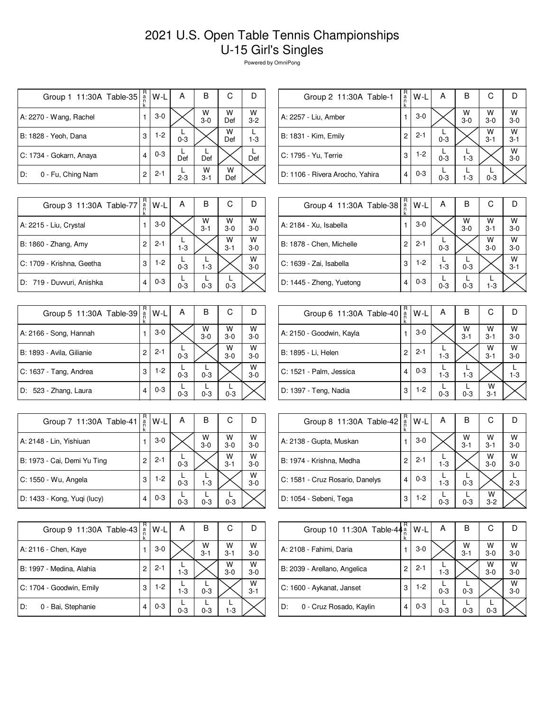## 2021 U.S. Open Table Tennis Championships U-15 Girl's Singles

Powered by OmniPong

| Group 1 11:30A Table-35 | R<br>а́<br>n<br>k | W-L     | А       | в            | С        | D            |
|-------------------------|-------------------|---------|---------|--------------|----------|--------------|
| A: 2270 - Wang, Rachel  |                   | $3-0$   |         | W<br>$3-0$   | w<br>Def | W<br>$3 - 2$ |
| B: 1828 - Yeoh, Dana    | 3                 | $1-2$   | $0 - 3$ |              | W<br>Def | $1 - 3$      |
| C: 1734 - Gokarn, Anaya | 4                 | $0 - 3$ | Def     | Def          |          | Def          |
| 0 - Fu, Ching Nam<br>D: | 2                 | $2 - 1$ | $2 - 3$ | w<br>$3 - 1$ | w<br>Def |              |

| Group 2 11:30A Table-1          | $R_{a}$<br>k | W-L     | А       | В                  | С            |                    |
|---------------------------------|--------------|---------|---------|--------------------|--------------|--------------------|
| A: 2257 - Liu, Amber            |              | $3-0$   |         | $W$ <sub>3-0</sub> | W<br>$3-0$   | $W$ <sub>3-0</sub> |
| B: 1831 - Kim, Emily            | 2            | $2 - 1$ | $0 - 3$ |                    | W<br>$3 - 1$ | W<br>$3 - 1$       |
| C: 1795 - Yu, Terrie            | 3            | $1-2$   | $0 - 3$ | $1 - 3$            |              | W<br>$3 - 0$       |
| D: 1106 - Rivera Arocho, Yahira | 4            | $0 - 3$ | $0 - 3$ | $1 - 3$            | $0 - 3$      |                    |

| Group 3 11:30A Table-77   | R<br>a<br>k    | $W-L$   | Α       | в            | С            |              |
|---------------------------|----------------|---------|---------|--------------|--------------|--------------|
| A: 2215 - Liu, Crystal    |                | $3-0$   |         | W<br>$3 - 1$ | W<br>$3-0$   | W<br>$3-0$   |
| B: 1860 - Zhang, Amy      | $\overline{c}$ | $2 - 1$ | $1 - 3$ |              | W<br>$3 - 1$ | W<br>$3-0$   |
| C: 1709 - Krishna, Geetha | 3              | $1-2$   | $0 - 3$ | $1 - 3$      |              | W<br>$3 - 0$ |
| D: 719 - Duvvuri, Anishka | 4              | $0 - 3$ | $0 - 3$ | $0 - 3$      | $0 - 3$      |              |

| Group 5 11:30A Table-39   | R<br>a<br>n<br>k | W-L     | Α       | в          | С          |              |
|---------------------------|------------------|---------|---------|------------|------------|--------------|
| A: 2166 - Song, Hannah    |                  | $3-0$   |         | W<br>$3-0$ | W<br>$3-0$ | W<br>$3 - 0$ |
| B: 1893 - Avila, Gilianie | 2                | $2 - 1$ | $0 - 3$ |            | W<br>$3-0$ | W<br>$3 - 0$ |
| C: 1637 - Tang, Andrea    | 3                | $1-2$   | $0 - 3$ | $0 - 3$    |            | W<br>$3 - 0$ |
| D: 523 - Zhang, Laura     | 4                | $0 - 3$ | $0 - 3$ | $0 - 3$    | $0 - 3$    |              |

| Group 7 11:30A Table-41     | R<br>$\frac{a}{n}$<br>k | W-L     | А       | В          | С            |              |
|-----------------------------|-------------------------|---------|---------|------------|--------------|--------------|
| A: 2148 - Lin, Yishiuan     |                         | $3-0$   |         | W<br>$3-0$ | W<br>$3-0$   | W<br>$3 - 0$ |
| B: 1973 - Cai, Demi Yu Ting | 2                       | $2 - 1$ | $0 - 3$ |            | W<br>$3 - 1$ | w<br>$3-0$   |
| C: 1550 - Wu, Angela        | 3                       | 1-2     | $0 - 3$ | $1 - 3$    |              | W<br>$3 - 0$ |
| D: 1433 - Kong, Yuqi (lucy) | 4                       | $0 - 3$ | $0 - 3$ | $0 - 3$    | $0 - 3$      |              |

| Group 9 11:30A Table-43  | R<br>a<br>k | W-L     | А       | В            | С            |              |
|--------------------------|-------------|---------|---------|--------------|--------------|--------------|
| A: 2116 - Chen, Kaye     |             | $3-0$   |         | W<br>$3 - 1$ | W<br>$3 - 1$ | W<br>$3 - 0$ |
| B: 1997 - Medina, Alahia | 2           | $2 - 1$ | $1 - 3$ |              | W<br>$3-0$   | W<br>$3 - 0$ |
| C: 1704 - Goodwin, Emily | 3           | $1-2$   | $1 - 3$ | $0 - 3$      |              | W<br>$3 - 1$ |
| 0 - Bai, Stephanie<br>D: |             | $0 - 3$ | $0 - 3$ | $0 - 3$      | $1-3$        |              |

| Group 4 11:30A Table-38  | R<br>a<br>n<br>k | $W-L$   | A       | B          | С            |              |
|--------------------------|------------------|---------|---------|------------|--------------|--------------|
| A: 2184 - Xu, Isabella   |                  | $3-0$   |         | W<br>$3-0$ | W<br>$3 - 1$ | W<br>$3-0$   |
| B: 1878 - Chen, Michelle | 2                | $2 - 1$ | $0 - 3$ |            | W<br>$3-0$   | W<br>$3-0$   |
| C: 1639 - Zai, Isabella  | 3                | $1-2$   | $1 - 3$ | $0 - 3$    |              | W<br>$3 - 1$ |
| D: 1445 - Zheng, Yuetong | 4                | $0 - 3$ | $0 - 3$ | $0 - 3$    | $1 - 3$      |              |

| Group 6 11:30A Table-40  | R<br>$\frac{a}{n}$ | W-L     | A       | в            | С            |            |
|--------------------------|--------------------|---------|---------|--------------|--------------|------------|
| A: 2150 - Goodwin, Kayla |                    | $3-0$   |         | W<br>$3 - 1$ | W<br>$3 - 1$ | W<br>$3-0$ |
| B: 1895 - Li, Helen      | 2                  | $2 - 1$ | $1 - 3$ |              | W<br>$3 - 1$ | W<br>$3-0$ |
| C: 1521 - Palm, Jessica  | $\overline{4}$     | $0 - 3$ | $1 - 3$ | $1 - 3$      |              | $1 - 3$    |
| D: 1397 - Teng, Nadia    | 3                  | $1-2$   | $0 - 3$ | $0 - 3$      | W<br>$3 - 1$ |            |

| Group 8 11:30A Table-42         | R<br>$\frac{a}{n}$ | $W-L$   | А       | В            | С            |            |
|---------------------------------|--------------------|---------|---------|--------------|--------------|------------|
| A: 2138 - Gupta, Muskan         |                    | $3-0$   |         | W<br>$3 - 1$ | W<br>$3 - 1$ | W<br>$3-0$ |
| B: 1974 - Krishna, Medha        | 2                  | $2 - 1$ | $1-3$   |              | W<br>$3-0$   | W<br>$3-0$ |
| C: 1581 - Cruz Rosario, Danelys |                    | $0 - 3$ | $1-3$   | $0 - 3$      |              | $2 - 3$    |
| D: 1054 - Sebeni, Tega          | 3                  | $1-2$   | $0 - 3$ | $0 - 3$      | w<br>$3 - 2$ |            |

| Group 10 11:30A Table-44 <sup>a</sup> | R | $W-L$   | А       | В            | С          |              |
|---------------------------------------|---|---------|---------|--------------|------------|--------------|
| A: 2108 - Fahimi, Daria               |   | $3-0$   |         | w<br>$3 - 1$ | W<br>$3-0$ | W<br>$3-0$   |
| B: 2039 - Arellano, Angelica          | 2 | $2 - 1$ | $1 - 3$ |              | W<br>$3-0$ | w<br>$3 - 0$ |
| C: 1600 - Aykanat, Janset             | 3 | $1-2$   | $0 - 3$ | $0 - 3$      |            | W<br>$3 - 0$ |
| D:<br>0 - Cruz Rosado, Kaylin         | 4 | $0 - 3$ | $0 - 3$ | $0 - 3$      | $0 - 3$    |              |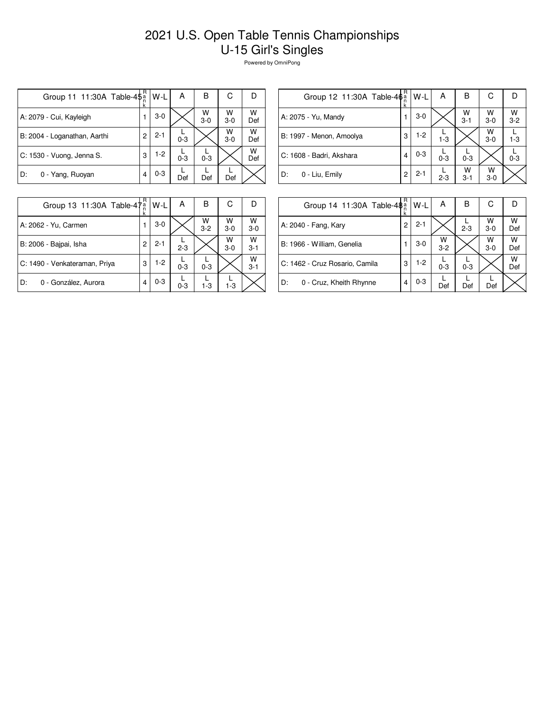## 2021 U.S. Open Table Tennis Championships U-15 Girl's Singles

Powered by OmniPong

| Group 11 11:30A Table-4\$ <sup>a</sup> | R | W-L     | А       | В          | С          |          |
|----------------------------------------|---|---------|---------|------------|------------|----------|
| A: 2079 - Cui, Kayleigh                | 1 | $3-0$   |         | W<br>$3-0$ | W<br>$3-0$ | w<br>Def |
| B: 2004 - Loganathan, Aarthi           | 2 | $2 - 1$ | $0 - 3$ |            | W<br>$3-0$ | w<br>Def |
| C: 1530 - Vuong, Jenna S.              | 3 | $1-2$   | $0 - 3$ | $0 - 3$    |            | w<br>Def |
| D:<br>0 - Yang, Ruoyan                 |   | $0 - 3$ | Def     | Def        | Def        |          |

| Group 12 11:30A Table-4 $\phi_n^a$ | R | W-L     | А       | В            | С                  |                    |
|------------------------------------|---|---------|---------|--------------|--------------------|--------------------|
| A: 2075 - Yu, Mandy                |   | $3-0$   |         | W<br>$3 - 1$ | $W$ <sub>3-0</sub> | $W$ <sub>3-2</sub> |
| B: 1997 - Menon, Amoolya           | 3 | $1-2$   | $1-3$   |              | W<br>$3-0$         | 1-3                |
| C: 1608 - Badri, Akshara           | 4 | $0 - 3$ | $0 - 3$ | $0 - 3$      |                    | $0 - 3$            |
| D:<br>0 - Liu, Emily               | 2 | $2 - 1$ | $2 - 3$ | w<br>$3 - 1$ | W<br>$3-0$         |                    |
|                                    |   |         |         |              |                    |                    |

| Group 13 11:30A Table-47 <sup>a</sup> |   | W-L     | A       | В            | С          |              |
|---------------------------------------|---|---------|---------|--------------|------------|--------------|
| A: 2062 - Yu, Carmen                  |   | $3-0$   |         | W<br>$3 - 2$ | W<br>$3-0$ | W<br>$3 - 0$ |
| B: 2006 - Bajpai, Isha                | 2 | $2 - 1$ | $2 - 3$ |              | W<br>$3-0$ | w<br>$3 - 1$ |
| C: 1490 - Venkateraman, Priya         | 3 | $1-2$   | $0 - 3$ | $0 - 3$      |            | W<br>$3 - 1$ |
| 0 - González, Aurora<br>D:            |   | $0 - 3$ | $0 - 3$ | $1-3$        | $1 - 3$    |              |

| Group 14 11:30A Table-48 <sup>a</sup> | R | $W-L$   | А            | в       | С          |          |
|---------------------------------------|---|---------|--------------|---------|------------|----------|
| A: 2040 - Fang, Kary                  | 2 | $2 - 1$ |              | $2 - 3$ | W<br>$3-0$ | w<br>Def |
| B: 1966 - William, Genelia            |   | $3-0$   | W<br>$3 - 2$ |         | W<br>$3-0$ | w<br>Def |
| C: 1462 - Cruz Rosario, Camila        | 3 | $1-2$   | $0 - 3$      | $0 - 3$ |            | W<br>Def |
| D:<br>0 - Cruz, Kheith Rhynne         | 4 | $0 - 3$ | Def          | Def     | Def        |          |